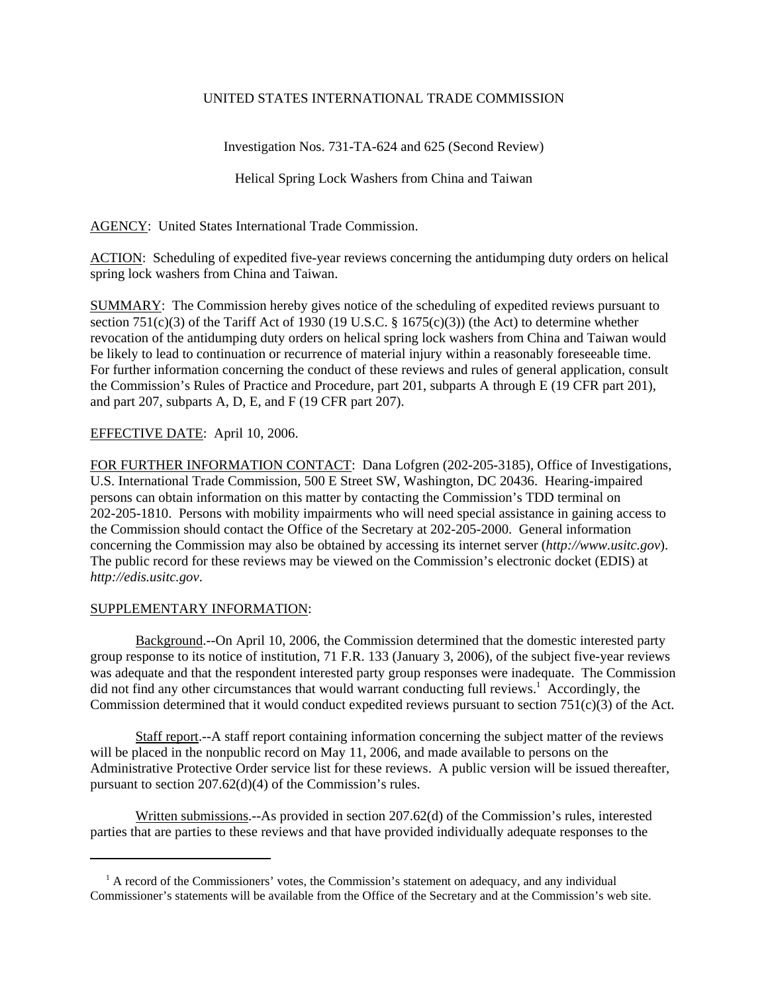## UNITED STATES INTERNATIONAL TRADE COMMISSION

Investigation Nos. 731-TA-624 and 625 (Second Review)

Helical Spring Lock Washers from China and Taiwan

AGENCY: United States International Trade Commission.

ACTION: Scheduling of expedited five-year reviews concerning the antidumping duty orders on helical spring lock washers from China and Taiwan.

SUMMARY: The Commission hereby gives notice of the scheduling of expedited reviews pursuant to section 751(c)(3) of the Tariff Act of 1930 (19 U.S.C. § 1675(c)(3)) (the Act) to determine whether revocation of the antidumping duty orders on helical spring lock washers from China and Taiwan would be likely to lead to continuation or recurrence of material injury within a reasonably foreseeable time. For further information concerning the conduct of these reviews and rules of general application, consult the Commission's Rules of Practice and Procedure, part 201, subparts A through E (19 CFR part 201), and part 207, subparts A, D, E, and F (19 CFR part 207).

## EFFECTIVE DATE: April 10, 2006.

FOR FURTHER INFORMATION CONTACT: Dana Lofgren (202-205-3185), Office of Investigations, U.S. International Trade Commission, 500 E Street SW, Washington, DC 20436. Hearing-impaired persons can obtain information on this matter by contacting the Commission's TDD terminal on 202-205-1810. Persons with mobility impairments who will need special assistance in gaining access to the Commission should contact the Office of the Secretary at 202-205-2000. General information concerning the Commission may also be obtained by accessing its internet server (*http://www.usitc.gov*). The public record for these reviews may be viewed on the Commission's electronic docket (EDIS) at *http://edis.usitc.gov*.

## SUPPLEMENTARY INFORMATION:

Background.--On April 10, 2006, the Commission determined that the domestic interested party group response to its notice of institution, 71 F.R. 133 (January 3, 2006), of the subject five-year reviews was adequate and that the respondent interested party group responses were inadequate. The Commission did not find any other circumstances that would warrant conducting full reviews.<sup>1</sup> Accordingly, the Commission determined that it would conduct expedited reviews pursuant to section 751(c)(3) of the Act.

Staff report.--A staff report containing information concerning the subject matter of the reviews will be placed in the nonpublic record on May 11, 2006, and made available to persons on the Administrative Protective Order service list for these reviews. A public version will be issued thereafter, pursuant to section 207.62(d)(4) of the Commission's rules.

Written submissions.--As provided in section 207.62(d) of the Commission's rules, interested parties that are parties to these reviews and that have provided individually adequate responses to the

<sup>&</sup>lt;sup>1</sup> A record of the Commissioners' votes, the Commission's statement on adequacy, and any individual Commissioner's statements will be available from the Office of the Secretary and at the Commission's web site.